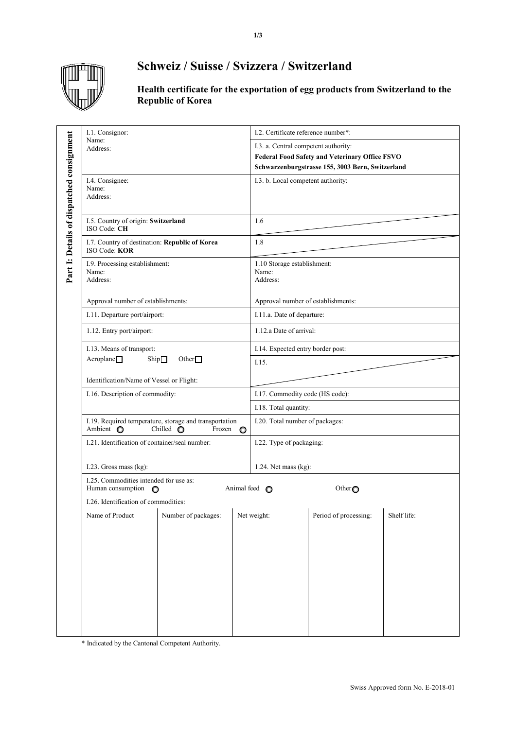

## **Schweiz / Suisse / Svizzera / Switzerland**

**Health certificate for the exportation of egg products from Switzerland to the Republic of Korea**

|                                           | I.1. Consignor:<br>Name:<br>Address:                                                                          |  |                                                                                                                                                   | I.2. Certificate reference number*:              |                                       |             |
|-------------------------------------------|---------------------------------------------------------------------------------------------------------------|--|---------------------------------------------------------------------------------------------------------------------------------------------------|--------------------------------------------------|---------------------------------------|-------------|
| Part 1: Details of dispatched consignment |                                                                                                               |  | I.3. a. Central competent authority:<br><b>Federal Food Safety and Veterinary Office FSVO</b><br>Schwarzenburgstrasse 155, 3003 Bern, Switzerland |                                                  |                                       |             |
|                                           | I.4. Consignee:<br>Name:<br>Address:                                                                          |  |                                                                                                                                                   | I.3. b. Local competent authority:               |                                       |             |
|                                           | I.5. Country of origin: Switzerland<br>ISO Code: CH                                                           |  |                                                                                                                                                   | 1.6                                              |                                       |             |
|                                           | I.7. Country of destination: Republic of Korea<br>ISO Code: KOR                                               |  |                                                                                                                                                   | 1.8                                              |                                       |             |
|                                           | I.9. Processing establishment:<br>Name:<br>Address:                                                           |  |                                                                                                                                                   | 1.10 Storage establishment:<br>Name:<br>Address: |                                       |             |
|                                           | Approval number of establishments:                                                                            |  |                                                                                                                                                   | Approval number of establishments:               |                                       |             |
|                                           | I.11. Departure port/airport:                                                                                 |  |                                                                                                                                                   | I.11.a. Date of departure:                       |                                       |             |
|                                           | 1.12. Entry port/airport:                                                                                     |  |                                                                                                                                                   | 1.12.a Date of arrival:                          |                                       |             |
|                                           | I.13. Means of transport:                                                                                     |  |                                                                                                                                                   | I.14. Expected entry border post:                |                                       |             |
|                                           | $A$ eroplane $\Box$<br>$\mathop{\mathrm{Ship}}\nolimits\Box$<br>Other $\Box$                                  |  |                                                                                                                                                   | I.15.                                            |                                       |             |
|                                           | Identification/Name of Vessel or Flight:                                                                      |  |                                                                                                                                                   |                                                  |                                       |             |
|                                           | I.16. Description of commodity:                                                                               |  |                                                                                                                                                   | I.17. Commodity code (HS code):                  |                                       |             |
|                                           |                                                                                                               |  |                                                                                                                                                   | I.18. Total quantity:                            |                                       |             |
|                                           | I.19. Required temperature, storage and transportation<br>Ambient O<br>Chilled $\bigcirc$<br>Frozen $\bullet$ |  |                                                                                                                                                   | I.20. Total number of packages:                  |                                       |             |
|                                           | I.21. Identification of container/seal number:                                                                |  |                                                                                                                                                   | I.22. Type of packaging:                         |                                       |             |
|                                           | I.23. Gross mass (kg):                                                                                        |  |                                                                                                                                                   | 1.24. Net mass $(kg)$ :                          |                                       |             |
|                                           | I.25. Commodities intended for use as:<br>Human consumption<br>$\circ$                                        |  |                                                                                                                                                   | Animal feed O                                    | Other <sub>O</sub>                    |             |
|                                           | I.26. Identification of commodities:                                                                          |  |                                                                                                                                                   |                                                  |                                       |             |
|                                           | Name of Product  <br>Number of packages:                                                                      |  | $\mathbf{I}$                                                                                                                                      | Net weight:                                      | $\mathbf{I}$<br>Period of processing: | Shelf life: |
|                                           |                                                                                                               |  |                                                                                                                                                   |                                                  |                                       |             |
|                                           |                                                                                                               |  |                                                                                                                                                   |                                                  |                                       |             |
|                                           |                                                                                                               |  |                                                                                                                                                   |                                                  |                                       |             |
|                                           |                                                                                                               |  |                                                                                                                                                   |                                                  |                                       |             |
|                                           |                                                                                                               |  |                                                                                                                                                   |                                                  |                                       |             |
|                                           |                                                                                                               |  |                                                                                                                                                   |                                                  |                                       |             |
|                                           |                                                                                                               |  |                                                                                                                                                   |                                                  |                                       |             |

\* Indicated by the Cantonal Competent Authority.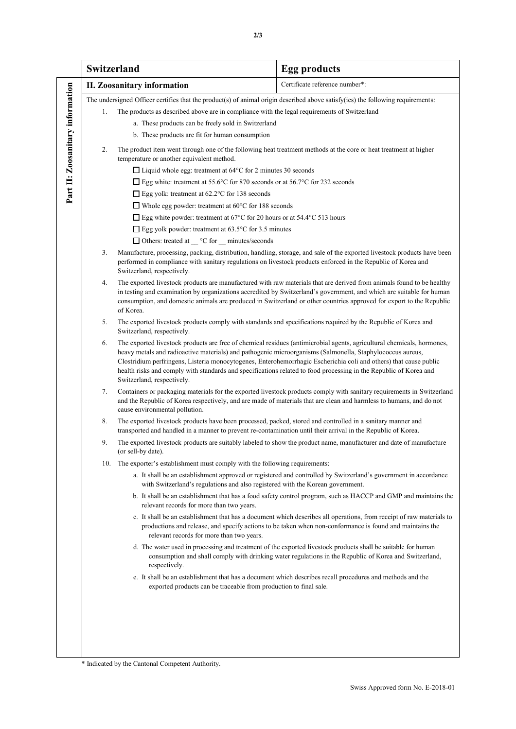|                                  | Switzerland                                                                                                                                                                                                                        |                                                                                                                                                                                                                                                                                                                                                                                                                                                                                                                                                                           | <b>Egg products</b>                                                                                                                                                                                                                                                                                                                                                                                                                                                                                                                                                                                                                                                                                                                                                                                           |  |  |  |  |  |
|----------------------------------|------------------------------------------------------------------------------------------------------------------------------------------------------------------------------------------------------------------------------------|---------------------------------------------------------------------------------------------------------------------------------------------------------------------------------------------------------------------------------------------------------------------------------------------------------------------------------------------------------------------------------------------------------------------------------------------------------------------------------------------------------------------------------------------------------------------------|---------------------------------------------------------------------------------------------------------------------------------------------------------------------------------------------------------------------------------------------------------------------------------------------------------------------------------------------------------------------------------------------------------------------------------------------------------------------------------------------------------------------------------------------------------------------------------------------------------------------------------------------------------------------------------------------------------------------------------------------------------------------------------------------------------------|--|--|--|--|--|
|                                  | <b>II.</b> Zoosanitary information                                                                                                                                                                                                 |                                                                                                                                                                                                                                                                                                                                                                                                                                                                                                                                                                           | Certificate reference number*:                                                                                                                                                                                                                                                                                                                                                                                                                                                                                                                                                                                                                                                                                                                                                                                |  |  |  |  |  |
| Part II: Zoosanitary information | 1.<br>2.                                                                                                                                                                                                                           | The undersigned Officer certifies that the product(s) of animal origin described above satisfy(ies) the following requirements:<br>The products as described above are in compliance with the legal requirements of Switzerland<br>a. These products can be freely sold in Switzerland<br>b. These products are fit for human consumption<br>The product item went through one of the following heat treatment methods at the core or heat treatment at higher                                                                                                            |                                                                                                                                                                                                                                                                                                                                                                                                                                                                                                                                                                                                                                                                                                                                                                                                               |  |  |  |  |  |
|                                  |                                                                                                                                                                                                                                    | temperature or another equivalent method.<br>$\Box$ Liquid whole egg: treatment at 64 $\degree$ C for 2 minutes 30 seconds<br>□ Egg white: treatment at 55.6°C for 870 seconds or at 56.7°C for 232 seconds<br>$\Box$ Egg yolk: treatment at 62.2°C for 138 seconds<br>Whole egg powder: treatment at $60^{\circ}$ C for 188 seconds<br>□ Egg white powder: treatment at 67 $\mathrm{^{\circ}C}$ for 20 hours or at 54.4 $\mathrm{^{\circ}C}$ 513 hours<br>$\Box$ Egg yolk powder: treatment at 63.5°C for 3.5 minutes<br>□ Others: treated at _ °C for _ minutes/seconds |                                                                                                                                                                                                                                                                                                                                                                                                                                                                                                                                                                                                                                                                                                                                                                                                               |  |  |  |  |  |
|                                  | 3.                                                                                                                                                                                                                                 | Manufacture, processing, packing, distribution, handling, storage, and sale of the exported livestock products have been<br>performed in compliance with sanitary regulations on livestock products enforced in the Republic of Korea and<br>Switzerland, respectively.                                                                                                                                                                                                                                                                                                   |                                                                                                                                                                                                                                                                                                                                                                                                                                                                                                                                                                                                                                                                                                                                                                                                               |  |  |  |  |  |
|                                  | 4.                                                                                                                                                                                                                                 | The exported livestock products are manufactured with raw materials that are derived from animals found to be healthy<br>in testing and examination by organizations accredited by Switzerland's government, and which are suitable for human<br>consumption, and domestic animals are produced in Switzerland or other countries approved for export to the Republic<br>of Korea.                                                                                                                                                                                        |                                                                                                                                                                                                                                                                                                                                                                                                                                                                                                                                                                                                                                                                                                                                                                                                               |  |  |  |  |  |
|                                  | 5.                                                                                                                                                                                                                                 | The exported livestock products comply with standards and specifications required by the Republic of Korea and<br>Switzerland, respectively.                                                                                                                                                                                                                                                                                                                                                                                                                              |                                                                                                                                                                                                                                                                                                                                                                                                                                                                                                                                                                                                                                                                                                                                                                                                               |  |  |  |  |  |
|                                  | 6.                                                                                                                                                                                                                                 | The exported livestock products are free of chemical residues (antimicrobial agents, agricultural chemicals, hormones,<br>heavy metals and radioactive materials) and pathogenic microorganisms (Salmonella, Staphylococcus aureus,<br>Clostridium perfringens, Listeria monocytogenes, Enterohemorrhagic Escherichia coli and others) that cause public<br>health risks and comply with standards and specifications related to food processing in the Republic of Korea and<br>Switzerland, respectively.                                                               |                                                                                                                                                                                                                                                                                                                                                                                                                                                                                                                                                                                                                                                                                                                                                                                                               |  |  |  |  |  |
|                                  | 7.                                                                                                                                                                                                                                 | Containers or packaging materials for the exported livestock products comply with sanitary requirements in Switzerland<br>and the Republic of Korea respectively, and are made of materials that are clean and harmless to humans, and do not<br>cause environmental pollution.                                                                                                                                                                                                                                                                                           |                                                                                                                                                                                                                                                                                                                                                                                                                                                                                                                                                                                                                                                                                                                                                                                                               |  |  |  |  |  |
|                                  | 8.<br>The exported livestock products have been processed, packed, stored and controlled in a sanitary manner and<br>transported and handled in a manner to prevent re-contamination until their arrival in the Republic of Korea. |                                                                                                                                                                                                                                                                                                                                                                                                                                                                                                                                                                           |                                                                                                                                                                                                                                                                                                                                                                                                                                                                                                                                                                                                                                                                                                                                                                                                               |  |  |  |  |  |
|                                  | 9.                                                                                                                                                                                                                                 | (or sell-by date).                                                                                                                                                                                                                                                                                                                                                                                                                                                                                                                                                        | The exported livestock products are suitably labeled to show the product name, manufacturer and date of manufacture                                                                                                                                                                                                                                                                                                                                                                                                                                                                                                                                                                                                                                                                                           |  |  |  |  |  |
|                                  | 10.                                                                                                                                                                                                                                | The exporter's establishment must comply with the following requirements:<br>with Switzerland's regulations and also registered with the Korean government.<br>relevant records for more than two years.<br>relevant records for more than two years.<br>respectively.<br>exported products can be traceable from production to final sale.                                                                                                                                                                                                                               | a. It shall be an establishment approved or registered and controlled by Switzerland's government in accordance<br>b. It shall be an establishment that has a food safety control program, such as HACCP and GMP and maintains the<br>c. It shall be an establishment that has a document which describes all operations, from receipt of raw materials to<br>productions and release, and specify actions to be taken when non-conformance is found and maintains the<br>d. The water used in processing and treatment of the exported livestock products shall be suitable for human<br>consumption and shall comply with drinking water regulations in the Republic of Korea and Switzerland,<br>e. It shall be an establishment that has a document which describes recall procedures and methods and the |  |  |  |  |  |
|                                  |                                                                                                                                                                                                                                    |                                                                                                                                                                                                                                                                                                                                                                                                                                                                                                                                                                           |                                                                                                                                                                                                                                                                                                                                                                                                                                                                                                                                                                                                                                                                                                                                                                                                               |  |  |  |  |  |

**2/3**

\* Indicated by the Cantonal Competent Authority.